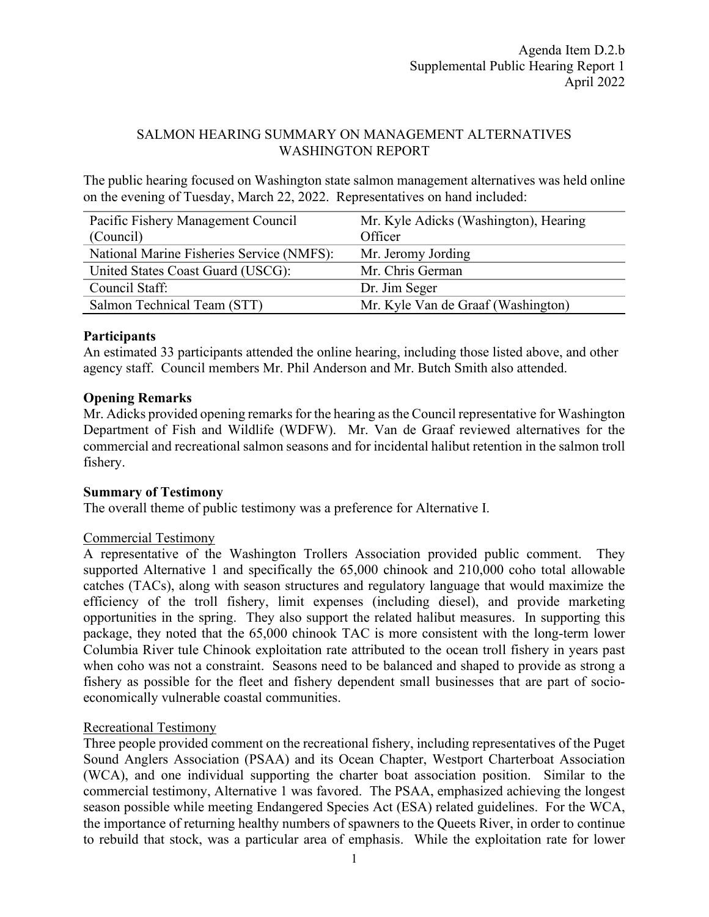## SALMON HEARING SUMMARY ON MANAGEMENT ALTERNATIVES WASHINGTON REPORT

The public hearing focused on Washington state salmon management alternatives was held online on the evening of Tuesday, March 22, 2022. Representatives on hand included:

| Pacific Fishery Management Council        | Mr. Kyle Adicks (Washington), Hearing |
|-------------------------------------------|---------------------------------------|
| (Council)                                 | Officer                               |
| National Marine Fisheries Service (NMFS): | Mr. Jeromy Jording                    |
| United States Coast Guard (USCG):         | Mr. Chris German                      |
| Council Staff:                            | Dr. Jim Seger                         |
| Salmon Technical Team (STT)               | Mr. Kyle Van de Graaf (Washington)    |

# **Participants**

An estimated 33 participants attended the online hearing, including those listed above, and other agency staff. Council members Mr. Phil Anderson and Mr. Butch Smith also attended.

### **Opening Remarks**

Mr. Adicks provided opening remarks for the hearing as the Council representative for Washington Department of Fish and Wildlife (WDFW). Mr. Van de Graaf reviewed alternatives for the commercial and recreational salmon seasons and for incidental halibut retention in the salmon troll fishery.

### **Summary of Testimony**

The overall theme of public testimony was a preference for Alternative I.

### Commercial Testimony

A representative of the Washington Trollers Association provided public comment. They supported Alternative 1 and specifically the 65,000 chinook and 210,000 coho total allowable catches (TACs), along with season structures and regulatory language that would maximize the efficiency of the troll fishery, limit expenses (including diesel), and provide marketing opportunities in the spring. They also support the related halibut measures. In supporting this package, they noted that the 65,000 chinook TAC is more consistent with the long-term lower Columbia River tule Chinook exploitation rate attributed to the ocean troll fishery in years past when coho was not a constraint. Seasons need to be balanced and shaped to provide as strong a fishery as possible for the fleet and fishery dependent small businesses that are part of socioeconomically vulnerable coastal communities.

### Recreational Testimony

Three people provided comment on the recreational fishery, including representatives of the Puget Sound Anglers Association (PSAA) and its Ocean Chapter, Westport Charterboat Association (WCA), and one individual supporting the charter boat association position. Similar to the commercial testimony, Alternative 1 was favored. The PSAA, emphasized achieving the longest season possible while meeting Endangered Species Act (ESA) related guidelines. For the WCA, the importance of returning healthy numbers of spawners to the Queets River, in order to continue to rebuild that stock, was a particular area of emphasis. While the exploitation rate for lower